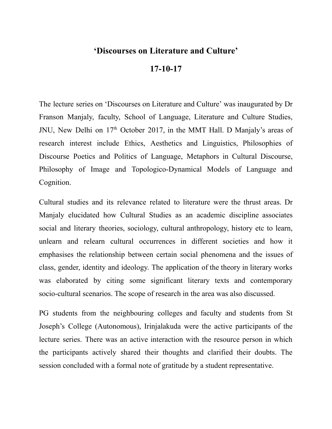## **'Discourses on Literature and Culture'**

## **17-10-17**

The lecture series on 'Discourses on Literature and Culture' was inaugurated by Dr Franson Manjaly, faculty, School of Language, Literature and Culture Studies, JNU, New Delhi on 17<sup>th</sup> October 2017, in the MMT Hall. D Manjaly's areas of research interest include Ethics, Aesthetics and Linguistics, Philosophies of Discourse Poetics and Politics of Language, Metaphors in Cultural Discourse, Philosophy of Image and Topologico-Dynamical Models of Language and Cognition.

Cultural studies and its relevance related to literature were the thrust areas. Dr Manjaly elucidated how Cultural Studies as an academic discipline associates social and literary theories, sociology, cultural anthropology, history etc to learn, unlearn and relearn cultural occurrences in different societies and how it emphasises the relationship between certain social phenomena and the issues of class, gender, identity and ideology. The application of the theory in literary works was elaborated by citing some significant literary texts and contemporary socio-cultural scenarios. The scope of research in the area was also discussed.

PG students from the neighbouring colleges and faculty and students from St Joseph's College (Autonomous), Irinjalakuda were the active participants of the lecture series. There was an active interaction with the resource person in which the participants actively shared their thoughts and clarified their doubts. The session concluded with a formal note of gratitude by a student representative.